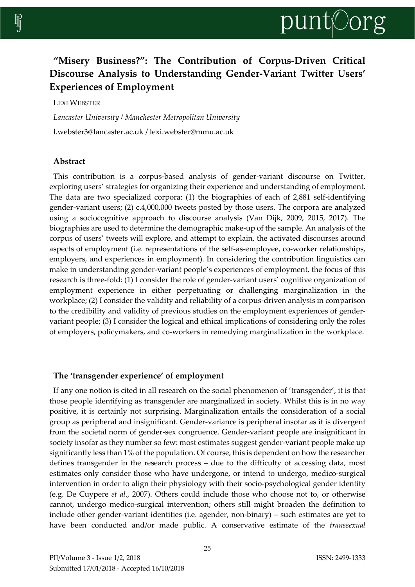# **"Misery Business?": The Contribution of Corpus-Driven Critical Discourse Analysis to Understanding Gender-Variant Twitter Users' Experiences of Employment**

LEXI WEBSTER

*Lancaster University / Manchester Metropolitan University*  l.webster3@lancaster.ac.uk / lexi.webster@mmu.ac.uk

# **Abstract**

This contribution is a corpus-based analysis of gender-variant discourse on Twitter, exploring users' strategies for organizing their experience and understanding of employment. The data are two specialized corpora: (1) the biographies of each of 2,881 self-identifying gender-variant users; (2) c.4,000,000 tweets posted by those users. The corpora are analyzed using a sociocognitive approach to discourse analysis (Van Dijk, 2009, 2015, 2017). The biographies are used to determine the demographic make-up of the sample. An analysis of the corpus of users' tweets will explore, and attempt to explain, the activated discourses around aspects of employment (i.e. representations of the self-as-employee, co-worker relationships, employers, and experiences in employment). In considering the contribution linguistics can make in understanding gender-variant people's experiences of employment, the focus of this research is three-fold: (1) I consider the role of gender-variant users' cognitive organization of employment experience in either perpetuating or challenging marginalization in the workplace; (2) I consider the validity and reliability of a corpus-driven analysis in comparison to the credibility and validity of previous studies on the employment experiences of gendervariant people; (3) I consider the logical and ethical implications of considering only the roles of employers, policymakers, and co-workers in remedying marginalization in the workplace.

# **The 'transgender experience' of employment**

If any one notion is cited in all research on the social phenomenon of 'transgender', it is that those people identifying as transgender are marginalized in society. Whilst this is in no way positive, it is certainly not surprising. Marginalization entails the consideration of a social group as peripheral and insignificant. Gender-variance is peripheral insofar as it is divergent from the societal norm of gender-sex congruence. Gender-variant people are insignificant in society insofar as they number so few: most estimates suggest gender-variant people make up significantly less than 1% of the population. Of course, this is dependent on how the researcher defines transgender in the research process – due to the difficulty of accessing data, most estimates only consider those who have undergone, or intend to undergo, medico-surgical intervention in order to align their physiology with their socio-psychological gender identity (e.g. De Cuypere *et al*., 2007). Others could include those who choose not to, or otherwise cannot, undergo medico-surgical intervention; others still might broaden the definition to include other gender-variant identities (i.e. agender, non-binary) – such estimates are yet to have been conducted and/or made public. A conservative estimate of the *transsexual*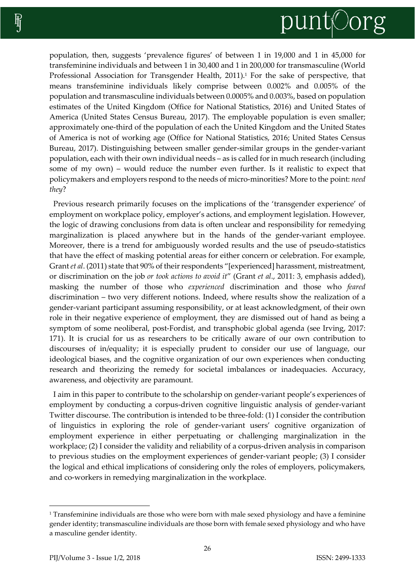

population, then, suggests 'prevalence figures' of between 1 in 19,000 and 1 in 45,000 for transfeminine individuals and between 1 in 30,400 and 1 in 200,000 for transmasculine (World Professional Association for Transgender Health, 2011).<sup>1</sup> For the sake of perspective, that means transfeminine individuals likely comprise between 0.002% and 0.005% of the population and transmasculine individuals between 0.0005% and 0.003%, based on population estimates of the United Kingdom (Office for National Statistics, 2016) and United States of America (United States Census Bureau, 2017). The employable population is even smaller; approximately one-third of the population of each the United Kingdom and the United States of America is not of working age (Office for National Statistics, 2016; United States Census Bureau, 2017). Distinguishing between smaller gender-similar groups in the gender-variant population, each with their own individual needs – as is called for in much research (including some of my own) – would reduce the number even further. Is it realistic to expect that policymakers and employers respond to the needs of micro-minorities? More to the point: *need they*?

Previous research primarily focuses on the implications of the 'transgender experience' of employment on workplace policy, employer's actions, and employment legislation. However, the logic of drawing conclusions from data is often unclear and responsibility for remedying marginalization is placed anywhere but in the hands of the gender-variant employee. Moreover, there is a trend for ambiguously worded results and the use of pseudo-statistics that have the effect of masking potential areas for either concern or celebration. For example, Grant *et al*. (2011) state that 90% of their respondents "[experienced] harassment, mistreatment, or discrimination on the job *or took actions to avoid it*" (Grant *et al*., 2011: 3, emphasis added), masking the number of those who *experienced* discrimination and those who *feared*  discrimination – two very different notions. Indeed, where results show the realization of a gender-variant participant assuming responsibility, or at least acknowledgment, of their own role in their negative experience of employment, they are dismissed out of hand as being a symptom of some neoliberal, post-Fordist, and transphobic global agenda (see Irving, 2017: 171). It is crucial for us as researchers to be critically aware of our own contribution to discourses of in/equality; it is especially prudent to consider our use of language, our ideological biases, and the cognitive organization of our own experiences when conducting research and theorizing the remedy for societal imbalances or inadequacies. Accuracy, awareness, and objectivity are paramount.

I aim in this paper to contribute to the scholarship on gender-variant people's experiences of employment by conducting a corpus-driven cognitive linguistic analysis of gender-variant Twitter discourse. The contribution is intended to be three-fold: (1) I consider the contribution of linguistics in exploring the role of gender-variant users' cognitive organization of employment experience in either perpetuating or challenging marginalization in the workplace; (2) I consider the validity and reliability of a corpus-driven analysis in comparison to previous studies on the employment experiences of gender-variant people; (3) I consider the logical and ethical implications of considering only the roles of employers, policymakers, and co-workers in remedying marginalization in the workplace.

 $\overline{a}$ 

<sup>&</sup>lt;sup>1</sup> Transfeminine individuals are those who were born with male sexed physiology and have a feminine gender identity; transmasculine individuals are those born with female sexed physiology and who have a masculine gender identity.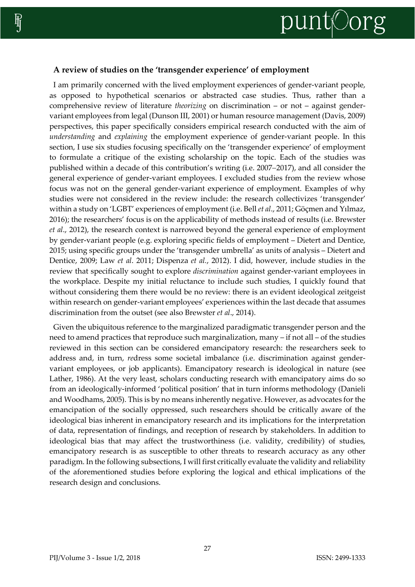

# **A review of studies on the 'transgender experience' of employment**

I am primarily concerned with the lived employment experiences of gender-variant people, as opposed to hypothetical scenarios or abstracted case studies. Thus, rather than a comprehensive review of literature *theorizing* on discrimination – or not – against gendervariant employees from legal (Dunson III, 2001) or human resource management (Davis, 2009) perspectives, this paper specifically considers empirical research conducted with the aim of *understanding* and *explaining* the employment experience of gender-variant people. In this section, I use six studies focusing specifically on the 'transgender experience' of employment to formulate a critique of the existing scholarship on the topic. Each of the studies was published within a decade of this contribution's writing (i.e. 2007–2017), and all consider the general experience of gender-variant employees. I excluded studies from the review whose focus was not on the general gender-variant experience of employment. Examples of why studies were not considered in the review include: the research collectivizes 'transgender' within a study on 'LGBT' experiences of employment (i.e. Bell *et al*., 2011; Göçmen and Yılmaz, 2016); the researchers' focus is on the applicability of methods instead of results (i.e. Brewster *et al*., 2012), the research context is narrowed beyond the general experience of employment by gender-variant people (e.g. exploring specific fields of employment – Dietert and Dentice, 2015; using specific groups under the 'transgender umbrella' as units of analysis – Dietert and Dentice, 2009; Law *et al*. 2011; Dispenza *et al.*, 2012). I did, however, include studies in the review that specifically sought to explore *discrimination* against gender-variant employees in the workplace. Despite my initial reluctance to include such studies, I quickly found that without considering them there would be no review: there is an evident ideological zeitgeist within research on gender-variant employees' experiences within the last decade that assumes discrimination from the outset (see also Brewster *et al*., 2014).

Given the ubiquitous reference to the marginalized paradigmatic transgender person and the need to amend practices that reproduce such marginalization, many – if not all – of the studies reviewed in this section can be considered emancipatory research: the researchers seek to address and, in turn, *re*dress some societal imbalance (i.e. discrimination against gendervariant employees, or job applicants). Emancipatory research is ideological in nature (see Lather, 1986). At the very least, scholars conducting research with emancipatory aims do so from an ideologically-informed 'political position' that in turn informs methodology (Danieli and Woodhams, 2005). This is by no means inherently negative. However, as advocates for the emancipation of the socially oppressed, such researchers should be critically aware of the ideological bias inherent in emancipatory research and its implications for the interpretation of data, representation of findings, and reception of research by stakeholders. In addition to ideological bias that may affect the trustworthiness (i.e. validity, credibility) of studies, emancipatory research is as susceptible to other threats to research accuracy as any other paradigm. In the following subsections, I will first critically evaluate the validity and reliability of the aforementioned studies before exploring the logical and ethical implications of the research design and conclusions.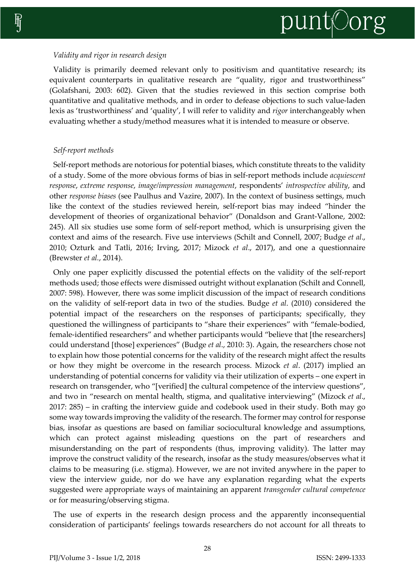#### *Validity and rigor in research design*

Validity is primarily deemed relevant only to positivism and quantitative research; its equivalent counterparts in qualitative research are "quality, rigor and trustworthiness" (Golafshani, 2003: 602). Given that the studies reviewed in this section comprise both quantitative and qualitative methods, and in order to defease objections to such value-laden lexis as 'trustworthiness' and 'quality', I will refer to validity and *rigor* interchangeably when evaluating whether a study/method measures what it is intended to measure or observe.

# *Self-report methods*

Self-report methods are notorious for potential biases, which constitute threats to the validity of a study. Some of the more obvious forms of bias in self-report methods include *acquiescent response*, *extreme response*, *image/impression management*, respondents' *introspective ability*, and other *response biases* (see Paulhus and Vazire, 2007). In the context of business settings, much like the context of the studies reviewed herein, self-report bias may indeed "hinder the development of theories of organizational behavior" (Donaldson and Grant-Vallone, 2002: 245). All six studies use some form of self-report method, which is unsurprising given the context and aims of the research. Five use interviews (Schilt and Connell, 2007; Budge *et al*., 2010; Ozturk and Tatli, 2016; Irving, 2017; Mizock *et al*., 2017), and one a questionnaire (Brewster *et al.*, 2014).

Only one paper explicitly discussed the potential effects on the validity of the self-report methods used; those effects were dismissed outright without explanation (Schilt and Connell, 2007: 598). However, there was some implicit discussion of the impact of research conditions on the validity of self-report data in two of the studies. Budge *et al*. (2010) considered the potential impact of the researchers on the responses of participants; specifically, they questioned the willingness of participants to "share their experiences" with "female-bodied, female-identified researchers" and whether participants would "believe that [the researchers] could understand [those] experiences" (Budge *et al*., 2010: 3). Again, the researchers chose not to explain how those potential concerns for the validity of the research might affect the results or how they might be overcome in the research process. Mizock *et al*. (2017) implied an understanding of potential concerns for validity via their utilization of experts – one expert in research on transgender, who "[verified] the cultural competence of the interview questions", and two in "research on mental health, stigma, and qualitative interviewing" (Mizock *et al*., 2017: 285) – in crafting the interview guide and codebook used in their study. Both may go some way towards improving the validity of the research. The former may control for response bias, insofar as questions are based on familiar sociocultural knowledge and assumptions, which can protect against misleading questions on the part of researchers and misunderstanding on the part of respondents (thus, improving validity). The latter may improve the construct validity of the research, insofar as the study measures/observes what it claims to be measuring (i.e. stigma). However, we are not invited anywhere in the paper to view the interview guide, nor do we have any explanation regarding what the experts suggested were appropriate ways of maintaining an apparent *transgender cultural competence* or for measuring/observing stigma.

The use of experts in the research design process and the apparently inconsequential consideration of participants' feelings towards researchers do not account for all threats to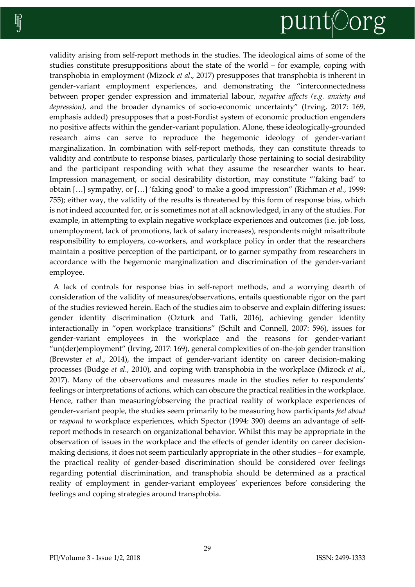

validity arising from self-report methods in the studies. The ideological aims of some of the studies constitute presuppositions about the state of the world – for example, coping with transphobia in employment (Mizock *et al*., 2017) presupposes that transphobia is inherent in gender-variant employment experiences, and demonstrating the "interconnectedness between proper gender expression and immaterial labour, *negative affects (e.g. anxiety and depression)*, and the broader dynamics of socio-economic uncertainty" (Irving, 2017: 169, emphasis added) presupposes that a post-Fordist system of economic production engenders no positive affects within the gender-variant population. Alone, these ideologically-grounded research aims can serve to reproduce the hegemonic ideology of gender-variant marginalization. In combination with self-report methods, they can constitute threads to validity and contribute to response biases, particularly those pertaining to social desirability and the participant responding with what they assume the researcher wants to hear. Impression management, or social desirability distortion, may constitute "'faking bad' to obtain […] sympathy, or […] 'faking good' to make a good impression" (Richman *et al.*, 1999: 755); either way, the validity of the results is threatened by this form of response bias, which is not indeed accounted for, or is sometimes not at all acknowledged, in any of the studies. For example, in attempting to explain negative workplace experiences and outcomes (i.e. job loss, unemployment, lack of promotions, lack of salary increases), respondents might misattribute responsibility to employers, co-workers, and workplace policy in order that the researchers maintain a positive perception of the participant, or to garner sympathy from researchers in accordance with the hegemonic marginalization and discrimination of the gender-variant employee.

A lack of controls for response bias in self-report methods, and a worrying dearth of consideration of the validity of measures/observations, entails questionable rigor on the part of the studies reviewed herein. Each of the studies aim to observe and explain differing issues: gender identity discrimination (Ozturk and Tatli, 2016), achieving gender identity interactionally in "open workplace transitions" (Schilt and Connell, 2007: 596), issues for gender-variant employees in the workplace and the reasons for gender-variant "un(der)employment" (Irving, 2017: 169), general complexities of on-the-job gender transition (Brewster *et al*., 2014), the impact of gender-variant identity on career decision-making processes (Budge *et al.*, 2010), and coping with transphobia in the workplace (Mizock *et al.*, 2017). Many of the observations and measures made in the studies refer to respondents' feelings or interpretations of actions, which can obscure the practical realities in the workplace. Hence, rather than measuring/observing the practical reality of workplace experiences of gender-variant people, the studies seem primarily to be measuring how participants *feel about*  or *respond to* workplace experiences, which Spector (1994: 390) deems an advantage of selfreport methods in research on organizational behavior. Whilst this may be appropriate in the observation of issues in the workplace and the effects of gender identity on career decisionmaking decisions, it does not seem particularly appropriate in the other studies – for example, the practical reality of gender-based discrimination should be considered over feelings regarding potential discrimination, and transphobia should be determined as a practical reality of employment in gender-variant employees' experiences before considering the feelings and coping strategies around transphobia.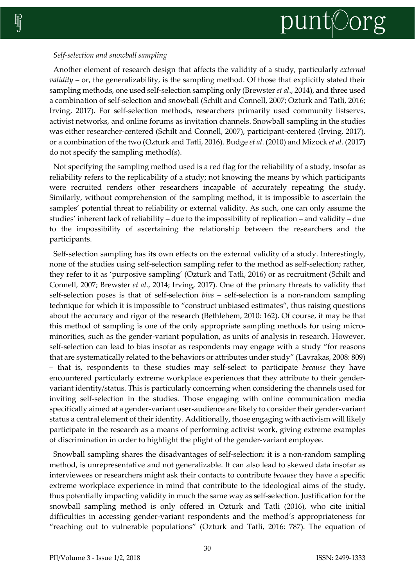# *Self-selection and snowball sampling*

Another element of research design that affects the validity of a study, particularly *external validity* – or, the generalizability, is the sampling method. Of those that explicitly stated their sampling methods, one used self-selection sampling only (Brewster *et al*., 2014), and three used a combination of self-selection and snowball (Schilt and Connell, 2007; Ozturk and Tatli, 2016; Irving, 2017). For self-selection methods, researchers primarily used community listservs, activist networks, and online forums as invitation channels. Snowball sampling in the studies was either researcher-centered (Schilt and Connell, 2007), participant-centered (Irving, 2017), or a combination of the two (Ozturk and Tatli, 2016). Budge *et al*. (2010) and Mizock *et al.* (2017) do not specify the sampling method(s).

Not specifying the sampling method used is a red flag for the reliability of a study, insofar as reliability refers to the replicability of a study; not knowing the means by which participants were recruited renders other researchers incapable of accurately repeating the study. Similarly, without comprehension of the sampling method, it is impossible to ascertain the samples' potential threat to reliability or external validity. As such, one can only assume the studies' inherent lack of reliability – due to the impossibility of replication – and validity – due to the impossibility of ascertaining the relationship between the researchers and the participants.

Self-selection sampling has its own effects on the external validity of a study. Interestingly, none of the studies using self-selection sampling refer to the method as self-selection; rather, they refer to it as 'purposive sampling' (Ozturk and Tatli, 2016) or as recruitment (Schilt and Connell, 2007; Brewster *et al*., 2014; Irving, 2017). One of the primary threats to validity that self-selection poses is that of self-selection *bias* – self-selection is a non-random sampling technique for which it is impossible to "construct unbiased estimates", thus raising questions about the accuracy and rigor of the research (Bethlehem, 2010: 162). Of course, it may be that this method of sampling is one of the only appropriate sampling methods for using microminorities, such as the gender-variant population, as units of analysis in research. However, self-selection can lead to bias insofar as respondents may engage with a study "for reasons that are systematically related to the behaviors or attributes under study" (Lavrakas, 2008: 809) – that is, respondents to these studies may self-select to participate *because* they have encountered particularly extreme workplace experiences that they attribute to their gendervariant identity/status. This is particularly concerning when considering the channels used for inviting self-selection in the studies. Those engaging with online communication media specifically aimed at a gender-variant user-audience are likely to consider their gender-variant status a central element of their identity. Additionally, those engaging with activism will likely participate in the research as a means of performing activist work, giving extreme examples of discrimination in order to highlight the plight of the gender-variant employee.

Snowball sampling shares the disadvantages of self-selection: it is a non-random sampling method, is unrepresentative and not generalizable. It can also lead to skewed data insofar as interviewees or researchers might ask their contacts to contribute *because* they have a specific extreme workplace experience in mind that contribute to the ideological aims of the study, thus potentially impacting validity in much the same way as self-selection. Justification for the snowball sampling method is only offered in Ozturk and Tatli (2016), who cite initial difficulties in accessing gender-variant respondents and the method's appropriateness for "reaching out to vulnerable populations" (Ozturk and Tatli, 2016: 787). The equation of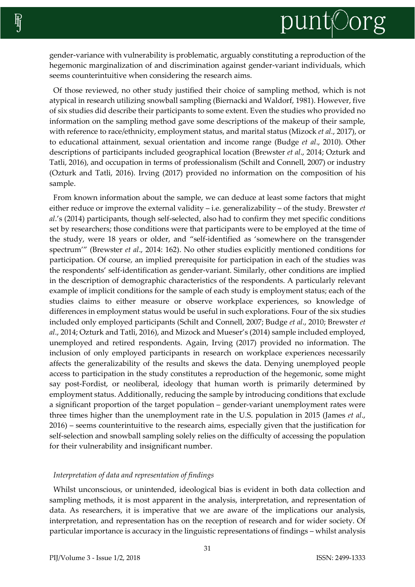gender-variance with vulnerability is problematic, arguably constituting a reproduction of the hegemonic marginalization of and discrimination against gender-variant individuals, which seems counterintuitive when considering the research aims.

Of those reviewed, no other study justified their choice of sampling method, which is not atypical in research utilizing snowball sampling (Biernacki and Waldorf, 1981). However, five of six studies did describe their participants to some extent. Even the studies who provided no information on the sampling method gave some descriptions of the makeup of their sample, with reference to race/ethnicity, employment status, and marital status (Mizock *et al.*, 2017), or to educational attainment, sexual orientation and income range (Budge *et al*., 2010). Other descriptions of participants included geographical location (Brewster *et al*., 2014; Ozturk and Tatli, 2016), and occupation in terms of professionalism (Schilt and Connell, 2007) or industry (Ozturk and Tatli, 2016). Irving (2017) provided no information on the composition of his sample.

From known information about the sample, we can deduce at least some factors that might either reduce or improve the external validity – i.e. generalizability – of the study. Brewster *et al*.'s (2014) participants, though self-selected, also had to confirm they met specific conditions set by researchers; those conditions were that participants were to be employed at the time of the study, were 18 years or older, and "self-identified as 'somewhere on the transgender spectrum'" (Brewster *et al*., 2014: 162). No other studies explicitly mentioned conditions for participation. Of course, an implied prerequisite for participation in each of the studies was the respondents' self-identification as gender-variant. Similarly, other conditions are implied in the description of demographic characteristics of the respondents. A particularly relevant example of implicit conditions for the sample of each study is employment status; each of the studies claims to either measure or observe workplace experiences, so knowledge of differences in employment status would be useful in such explorations. Four of the six studies included only employed participants (Schilt and Connell, 2007; Budge *et al*., 2010; Brewster *et al*., 2014; Ozturk and Tatli, 2016), and Mizock and Mueser's (2014) sample included employed, unemployed and retired respondents. Again, Irving (2017) provided no information. The inclusion of only employed participants in research on workplace experiences necessarily affects the generalizability of the results and skews the data. Denying unemployed people access to participation in the study constitutes a reproduction of the hegemonic, some might say post-Fordist, or neoliberal, ideology that human worth is primarily determined by employment status. Additionally, reducing the sample by introducing conditions that exclude a significant proportion of the target population – gender-variant unemployment rates were three times higher than the unemployment rate in the U.S. population in 2015 (James *et al*., 2016) – seems counterintuitive to the research aims, especially given that the justification for self-selection and snowball sampling solely relies on the difficulty of accessing the population for their vulnerability and insignificant number.

#### *Interpretation of data and representation of findings*

Whilst unconscious, or unintended, ideological bias is evident in both data collection and sampling methods, it is most apparent in the analysis, interpretation, and representation of data. As researchers, it is imperative that we are aware of the implications our analysis, interpretation, and representation has on the reception of research and for wider society. Of particular importance is accuracy in the linguistic representations of findings – whilst analysis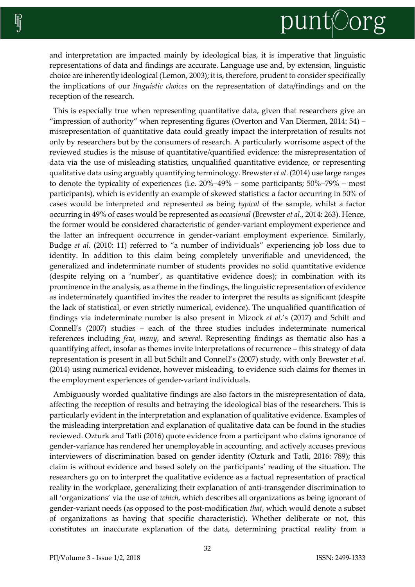and interpretation are impacted mainly by ideological bias, it is imperative that linguistic representations of data and findings are accurate. Language use and, by extension, linguistic choice are inherently ideological (Lemon, 2003); it is, therefore, prudent to consider specifically the implications of our *linguistic choices* on the representation of data/findings and on the reception of the research.

This is especially true when representing quantitative data, given that researchers give an "impression of authority" when representing figures (Overton and Van Diermen, 2014: 54) – misrepresentation of quantitative data could greatly impact the interpretation of results not only by researchers but by the consumers of research. A particularly worrisome aspect of the reviewed studies is the misuse of quantitative/quantified evidence: the misrepresentation of data via the use of misleading statistics, unqualified quantitative evidence, or representing qualitative data using arguably quantifying terminology. Brewster *et al*. (2014) use large ranges to denote the typicality of experiences (i.e.  $20\%-49\%$  – some participants;  $50\%-79\%$  – most participants), which is evidently an example of skewed statistics: a factor occurring in 50% of cases would be interpreted and represented as being *typical* of the sample, whilst a factor occurring in 49% of cases would be represented as *occasional* (Brewster *et al*., 2014: 263). Hence, the former would be considered characteristic of gender-variant employment experience and the latter an infrequent occurrence in gender-variant employment experience. Similarly, Budge *et al*. (2010: 11) referred to "a number of individuals" experiencing job loss due to identity. In addition to this claim being completely unverifiable and unevidenced, the generalized and indeterminate number of students provides no solid quantitative evidence (despite relying on a 'number', as quantitative evidence does); in combination with its prominence in the analysis, as a theme in the findings, the linguistic representation of evidence as indeterminately quantified invites the reader to interpret the results as significant (despite the lack of statistical, or even strictly numerical, evidence). The unqualified quantification of findings via indeterminate number is also present in Mizock *et al.*'s (2017) and Schilt and Connell's (2007) studies – each of the three studies includes indeterminate numerical references including *few*, *many*, and *several*. Representing findings as thematic also has a quantifying affect, insofar as themes invite interpretations of recurrence – this strategy of data representation is present in all but Schilt and Connell's (2007) study, with only Brewster *et al*. (2014) using numerical evidence, however misleading, to evidence such claims for themes in the employment experiences of gender-variant individuals.

Ambiguously worded qualitative findings are also factors in the misrepresentation of data, affecting the reception of results and betraying the ideological bias of the researchers. This is particularly evident in the interpretation and explanation of qualitative evidence. Examples of the misleading interpretation and explanation of qualitative data can be found in the studies reviewed. Ozturk and Tatli (2016) quote evidence from a participant who claims ignorance of gender-variance has rendered her unemployable in accounting, and actively accuses previous interviewers of discrimination based on gender identity (Ozturk and Tatli, 2016: 789); this claim is without evidence and based solely on the participants' reading of the situation. The researchers go on to interpret the qualitative evidence as a factual representation of practical reality in the workplace, generalizing their explanation of anti-transgender discrimination to all 'organizations' via the use of *which*, which describes all organizations as being ignorant of gender-variant needs (as opposed to the post-modification *that*, which would denote a subset of organizations as having that specific characteristic). Whether deliberate or not, this constitutes an inaccurate explanation of the data, determining practical reality from a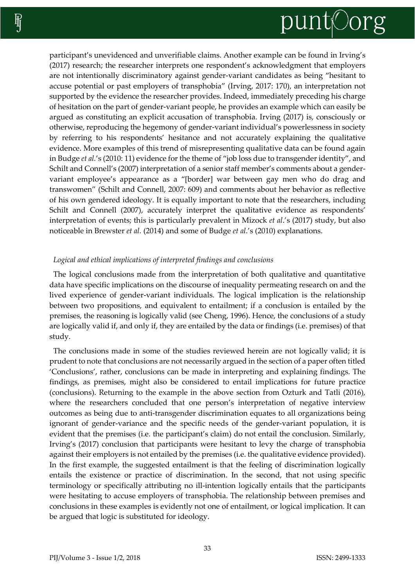

participant's unevidenced and unverifiable claims. Another example can be found in Irving's (2017) research; the researcher interprets one respondent's acknowledgment that employers are not intentionally discriminatory against gender-variant candidates as being "hesitant to accuse potential or past employers of transphobia" (Irving, 2017: 170), an interpretation not supported by the evidence the researcher provides. Indeed, immediately preceding his charge of hesitation on the part of gender-variant people, he provides an example which can easily be argued as constituting an explicit accusation of transphobia. Irving (2017) is, consciously or otherwise, reproducing the hegemony of gender-variant individual's powerlessness in society by referring to his respondents' hesitance and not accurately explaining the qualitative evidence. More examples of this trend of misrepresenting qualitative data can be found again in Budge *et al.*'s (2010: 11) evidence for the theme of "job loss due to transgender identity", and Schilt and Connell's (2007) interpretation of a senior staff member's comments about a gendervariant employee's appearance as a "[border] war between gay men who do drag and transwomen" (Schilt and Connell, 2007: 609) and comments about her behavior as reflective of his own gendered ideology. It is equally important to note that the researchers, including Schilt and Connell (2007), accurately interpret the qualitative evidence as respondents' interpretation of events; this is particularly prevalent in Mizock *et al*.'s (2017) study, but also noticeable in Brewster *et al.* (2014) and some of Budge *et al*.'s (2010) explanations.

## *Logical and ethical implications of interpreted findings and conclusions*

The logical conclusions made from the interpretation of both qualitative and quantitative data have specific implications on the discourse of inequality permeating research on and the lived experience of gender-variant individuals. The logical implication is the relationship between two propositions, and equivalent to entailment; if a conclusion is entailed by the premises, the reasoning is logically valid (see Cheng, 1996). Hence, the conclusions of a study are logically valid if, and only if, they are entailed by the data or findings (i.e. premises) of that study.

The conclusions made in some of the studies reviewed herein are not logically valid; it is prudent to note that conclusions are not necessarily argued in the section of a paper often titled 'Conclusions', rather, conclusions can be made in interpreting and explaining findings. The findings, as premises, might also be considered to entail implications for future practice (conclusions). Returning to the example in the above section from Ozturk and Tatli (2016), where the researchers concluded that one person's interpretation of negative interview outcomes as being due to anti-transgender discrimination equates to all organizations being ignorant of gender-variance and the specific needs of the gender-variant population, it is evident that the premises (i.e. the participant's claim) do not entail the conclusion. Similarly, Irving's (2017) conclusion that participants were hesitant to levy the charge of transphobia against their employers is not entailed by the premises (i.e. the qualitative evidence provided). In the first example, the suggested entailment is that the feeling of discrimination logically entails the existence or practice of discrimination. In the second, that not using specific terminology or specifically attributing no ill-intention logically entails that the participants were hesitating to accuse employers of transphobia. The relationship between premises and conclusions in these examples is evidently not one of entailment, or logical implication. It can be argued that logic is substituted for ideology.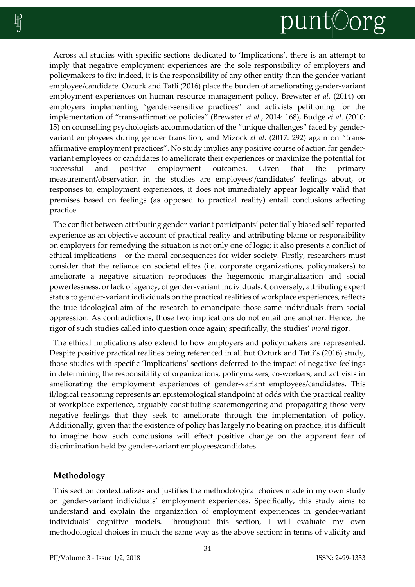

Across all studies with specific sections dedicated to 'Implications', there is an attempt to imply that negative employment experiences are the sole responsibility of employers and policymakers to fix; indeed, it is the responsibility of any other entity than the gender-variant employee/candidate. Ozturk and Tatli (2016) place the burden of ameliorating gender-variant employment experiences on human resource management policy, Brewster *et al.* (2014) on employers implementing "gender-sensitive practices" and activists petitioning for the implementation of "trans-affirmative policies" (Brewster *et al*., 2014: 168), Budge *et al*. (2010: 15) on counselling psychologists accommodation of the "unique challenges" faced by gendervariant employees during gender transition, and Mizock *et al*. (2017: 292) again on "transaffirmative employment practices". No study implies any positive course of action for gendervariant employees or candidates to ameliorate their experiences or maximize the potential for successful and positive employment outcomes. Given that the primary measurement/observation in the studies are employees'/candidates' feelings about, or responses to, employment experiences, it does not immediately appear logically valid that premises based on feelings (as opposed to practical reality) entail conclusions affecting practice.

The conflict between attributing gender-variant participants' potentially biased self-reported experience as an objective account of practical reality and attributing blame or responsibility on employers for remedying the situation is not only one of logic; it also presents a conflict of ethical implications – or the moral consequences for wider society. Firstly, researchers must consider that the reliance on societal elites (i.e. corporate organizations, policymakers) to ameliorate a negative situation reproduces the hegemonic marginalization and social powerlessness, or lack of agency, of gender-variant individuals. Conversely, attributing expert status to gender-variant individuals on the practical realities of workplace experiences, reflects the true ideological aim of the research to emancipate those same individuals from social oppression. As contradictions, those two implications do not entail one another. Hence, the rigor of such studies called into question once again; specifically, the studies' *moral* rigor.

The ethical implications also extend to how employers and policymakers are represented. Despite positive practical realities being referenced in all but Ozturk and Tatli's (2016) study, those studies with specific 'Implications' sections deferred to the impact of negative feelings in determining the responsibility of organizations, policymakers, co-workers, and activists in ameliorating the employment experiences of gender-variant employees/candidates. This il/logical reasoning represents an epistemological standpoint at odds with the practical reality of workplace experience, arguably constituting scaremongering and propagating those very negative feelings that they seek to ameliorate through the implementation of policy. Additionally, given that the existence of policy has largely no bearing on practice, it is difficult to imagine how such conclusions will effect positive change on the apparent fear of discrimination held by gender-variant employees/candidates.

#### **Methodology**

This section contextualizes and justifies the methodological choices made in my own study on gender-variant individuals' employment experiences. Specifically, this study aims to understand and explain the organization of employment experiences in gender-variant individuals' cognitive models. Throughout this section, I will evaluate my own methodological choices in much the same way as the above section: in terms of validity and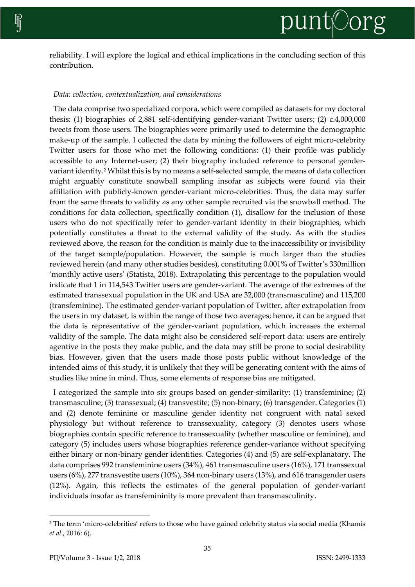reliability. I will explore the logical and ethical implications in the concluding section of this contribution.

## *Data: collection, contextualization, and considerations*

The data comprise two specialized corpora, which were compiled as datasets for my doctoral thesis: (1) biographies of 2,881 self-identifying gender-variant Twitter users; (2) c.4,000,000 tweets from those users. The biographies were primarily used to determine the demographic make-up of the sample. I collected the data by mining the followers of eight micro-celebrity Twitter users for those who met the following conditions: (1) their profile was publicly accessible to any Internet-user; (2) their biography included reference to personal gendervariant identity.<sup>2</sup> Whilst this is by no means a self-selected sample, the means of data collection might arguably constitute snowball sampling insofar as subjects were found via their affiliation with publicly-known gender-variant micro-celebrities. Thus, the data may suffer from the same threats to validity as any other sample recruited via the snowball method. The conditions for data collection, specifically condition (1), disallow for the inclusion of those users who do not specifically refer to gender-variant identity in their biographies, which potentially constitutes a threat to the external validity of the study. As with the studies reviewed above, the reason for the condition is mainly due to the inaccessibility or invisibility of the target sample/population. However, the sample is much larger than the studies reviewed herein (and many other studies besides), constituting 0.001% of Twitter's 330million 'monthly active users' (Statista, 2018). Extrapolating this percentage to the population would indicate that 1 in 114,543 Twitter users are gender-variant. The average of the extremes of the estimated transsexual population in the UK and USA are 32,000 (transmasculine) and 115,200 (transfeminine). The estimated gender-variant population of Twitter, after extrapolation from the users in my dataset, is within the range of those two averages; hence, it can be argued that the data is representative of the gender-variant population, which increases the external validity of the sample. The data might also be considered self-report data: users are entirely agentive in the posts they make public, and the data may still be prone to social desirability bias. However, given that the users made those posts public without knowledge of the intended aims of this study, it is unlikely that they will be generating content with the aims of studies like mine in mind. Thus, some elements of response bias are mitigated.

I categorized the sample into six groups based on gender-similarity: (1) transfeminine; (2) transmasculine; (3) transsexual; (4) transvestite; (5) non-binary; (6) transgender. Categories (1) and (2) denote feminine or masculine gender identity not congruent with natal sexed physiology but without reference to transsexuality, category (3) denotes users whose biographies contain specific reference to transsexuality (whether masculine or feminine), and category (5) includes users whose biographies reference gender-variance without specifying either binary or non-binary gender identities. Categories (4) and (5) are self-explanatory. The data comprises 992 transfeminine users (34%), 461 transmasculine users (16%), 171 transsexual users (6%), 277 transvestite users (10%), 364 non-binary users (13%), and 616 transgender users (12%). Again, this reflects the estimates of the general population of gender-variant individuals insofar as transfemininity is more prevalent than transmasculinity.

 $\overline{a}$ 

<sup>2</sup> The term 'micro-celebrities' refers to those who have gained celebrity status via social media (Khamis *et al*., 2016: 6).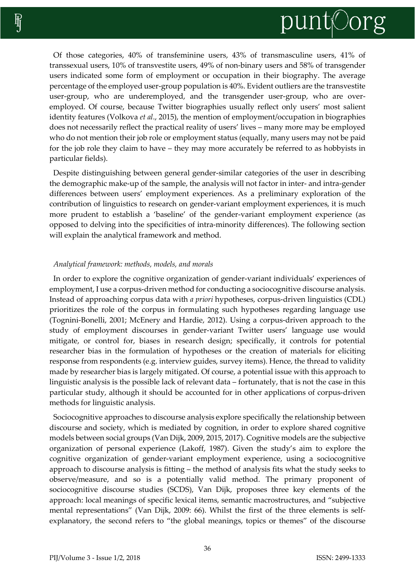

Of those categories, 40% of transfeminine users, 43% of transmasculine users, 41% of transsexual users, 10% of transvestite users, 49% of non-binary users and 58% of transgender users indicated some form of employment or occupation in their biography. The average percentage of the employed user-group population is 40%. Evident outliers are the transvestite user-group, who are underemployed, and the transgender user-group, who are overemployed. Of course, because Twitter biographies usually reflect only users' most salient identity features (Volkova *et al*., 2015), the mention of employment/occupation in biographies does not necessarily reflect the practical reality of users' lives – many more may be employed who do not mention their job role or employment status (equally, many users may not be paid for the job role they claim to have – they may more accurately be referred to as hobbyists in particular fields).

Despite distinguishing between general gender-similar categories of the user in describing the demographic make-up of the sample, the analysis will not factor in inter- and intra-gender differences between users' employment experiences. As a preliminary exploration of the contribution of linguistics to research on gender-variant employment experiences, it is much more prudent to establish a 'baseline' of the gender-variant employment experience (as opposed to delving into the specificities of intra-minority differences). The following section will explain the analytical framework and method.

#### *Analytical framework: methods, models, and morals*

In order to explore the cognitive organization of gender-variant individuals' experiences of employment, I use a corpus-driven method for conducting a sociocognitive discourse analysis. Instead of approaching corpus data with *a priori* hypotheses, corpus-driven linguistics (CDL) prioritizes the role of the corpus in formulating such hypotheses regarding language use (Tognini-Bonelli, 2001; McEnery and Hardie, 2012). Using a corpus-driven approach to the study of employment discourses in gender-variant Twitter users' language use would mitigate, or control for, biases in research design; specifically, it controls for potential researcher bias in the formulation of hypotheses or the creation of materials for eliciting response from respondents (e.g. interview guides, survey items). Hence, the thread to validity made by researcher bias is largely mitigated. Of course, a potential issue with this approach to linguistic analysis is the possible lack of relevant data – fortunately, that is not the case in this particular study, although it should be accounted for in other applications of corpus-driven methods for linguistic analysis.

Sociocognitive approaches to discourse analysis explore specifically the relationship between discourse and society, which is mediated by cognition, in order to explore shared cognitive models between social groups (Van Dijk, 2009, 2015, 2017). Cognitive models are the subjective organization of personal experience (Lakoff, 1987). Given the study's aim to explore the cognitive organization of gender-variant employment experience, using a sociocognitive approach to discourse analysis is fitting – the method of analysis fits what the study seeks to observe/measure, and so is a potentially valid method. The primary proponent of sociocognitive discourse studies (SCDS), Van Dijk, proposes three key elements of the approach: local meanings of specific lexical items, semantic macrostructures, and "subjective mental representations" (Van Dijk, 2009: 66). Whilst the first of the three elements is selfexplanatory, the second refers to "the global meanings, topics or themes" of the discourse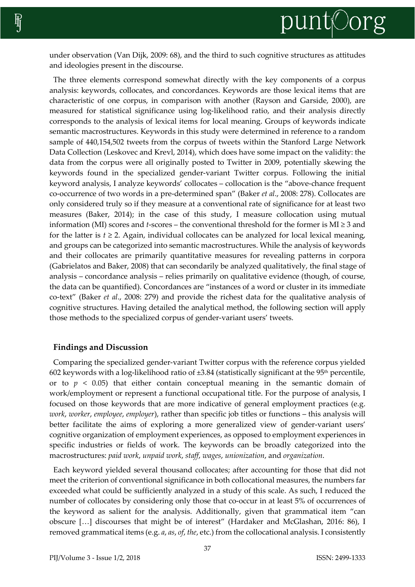

under observation (Van Dijk, 2009: 68), and the third to such cognitive structures as attitudes and ideologies present in the discourse.

The three elements correspond somewhat directly with the key components of a corpus analysis: keywords, collocates, and concordances. Keywords are those lexical items that are characteristic of one corpus, in comparison with another (Rayson and Garside, 2000), are measured for statistical significance using log-likelihood ratio, and their analysis directly corresponds to the analysis of lexical items for local meaning. Groups of keywords indicate semantic macrostructures. Keywords in this study were determined in reference to a random sample of 440,154,502 tweets from the corpus of tweets within the Stanford Large Network Data Collection (Leskovec and Krevl, 2014), which does have some impact on the validity: the data from the corpus were all originally posted to Twitter in 2009, potentially skewing the keywords found in the specialized gender-variant Twitter corpus. Following the initial keyword analysis, I analyze keywords' collocates – collocation is the "above-chance frequent co-occurrence of two words in a pre-determined span" (Baker *et al*., 2008: 278). Collocates are only considered truly so if they measure at a conventional rate of significance for at least two measures (Baker, 2014); in the case of this study, I measure collocation using mutual information (MI) scores and *t*-scores – the conventional threshold for the former is MI ≥ 3 and for the latter is  $t \geq 2$ . Again, individual collocates can be analyzed for local lexical meaning, and groups can be categorized into semantic macrostructures. While the analysis of keywords and their collocates are primarily quantitative measures for revealing patterns in corpora (Gabrielatos and Baker, 2008) that can secondarily be analyzed qualitatively, the final stage of analysis – concordance analysis – relies primarily on qualitative evidence (though, of course, the data can be quantified). Concordances are "instances of a word or cluster in its immediate co-text" (Baker *et al*., 2008: 279) and provide the richest data for the qualitative analysis of cognitive structures. Having detailed the analytical method, the following section will apply those methods to the specialized corpus of gender-variant users' tweets.

#### **Findings and Discussion**

Comparing the specialized gender-variant Twitter corpus with the reference corpus yielded 602 keywords with a log-likelihood ratio of  $\pm 3.84$  (statistically significant at the 95<sup>th</sup> percentile, or to  $p < 0.05$ ) that either contain conceptual meaning in the semantic domain of work/employment or represent a functional occupational title. For the purpose of analysis, I focused on those keywords that are more indicative of general employment practices (e.g. *work*, *worker*, *employee*, *employer*), rather than specific job titles or functions – this analysis will better facilitate the aims of exploring a more generalized view of gender-variant users' cognitive organization of employment experiences, as opposed to employment experiences in specific industries or fields of work. The keywords can be broadly categorized into the macrostructures: *paid work*, *unpaid work*, *staff*, *wages*, *unionization*, and *organization*.

Each keyword yielded several thousand collocates; after accounting for those that did not meet the criterion of conventional significance in both collocational measures, the numbers far exceeded what could be sufficiently analyzed in a study of this scale. As such, I reduced the number of collocates by considering only those that co-occur in at least 5% of occurrences of the keyword as salient for the analysis. Additionally, given that grammatical item "can obscure […] discourses that might be of interest" (Hardaker and McGlashan, 2016: 86), I removed grammatical items (e.g. *a*, *as*, *of*, *the*, etc.) from the collocational analysis. I consistently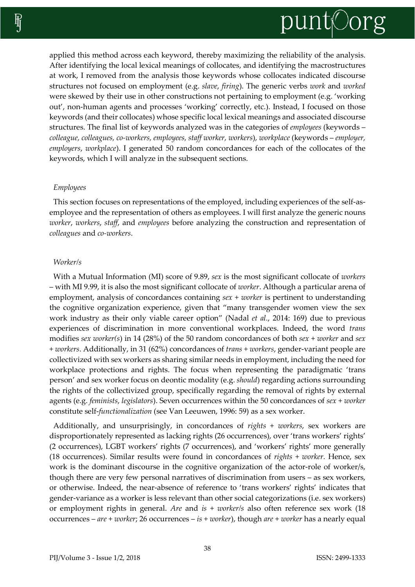

applied this method across each keyword, thereby maximizing the reliability of the analysis. After identifying the local lexical meanings of collocates, and identifying the macrostructures at work, I removed from the analysis those keywords whose collocates indicated discourse structures not focused on employment (e.g. *slave*, *firing*). The generic verbs *work* and *worked* were skewed by their use in other constructions not pertaining to employment (e.g. 'working out', non-human agents and processes 'working' correctly, etc.). Instead, I focused on those keywords (and their collocates) whose specific local lexical meanings and associated discourse structures. The final list of keywords analyzed was in the categories of *employees* (keywords – *colleague, colleagues, co-workers, employees, staff worker, workers*), *workplace* (keywords – *employer, employers*, *workplace*). I generated 50 random concordances for each of the collocates of the keywords, which I will analyze in the subsequent sections.

#### *Employees*

This section focuses on representations of the employed, including experiences of the self-asemployee and the representation of others as employees. I will first analyze the generic nouns *worker*, *workers*, *staff*, and *employees* before analyzing the construction and representation of *colleagues* and *co-workers*.

#### *Worker/s*

With a Mutual Information (MI) score of 9.89, *sex* is the most significant collocate of *workers* – with MI 9.99, it is also the most significant collocate of *worker*. Although a particular arena of employment, analysis of concordances containing *sex* + *worker* is pertinent to understanding the cognitive organization experience, given that "many transgender women view the sex work industry as their only viable career option" (Nadal *et al.*, 2014: 169) due to previous experiences of discrimination in more conventional workplaces. Indeed, the word *trans* modifies *sex worker(s*) in 14 (28%) of the 50 random concordances of both *sex* + *worker* and *sex*  + *workers*. Additionally, in 31 (62%) concordances of *trans* + *workers*, gender-variant people are collectivized with sex workers as sharing similar needs in employment, including the need for workplace protections and rights. The focus when representing the paradigmatic 'trans person' and sex worker focus on deontic modality (e.g. *should*) regarding actions surrounding the rights of the collectivized group, specifically regarding the removal of rights by external agents (e.g. *feminists*, *legislators*). Seven occurrences within the 50 concordances of *sex* + *worker* constitute self-*functionalization* (see Van Leeuwen, 1996: 59) as a sex worker.

Additionally, and unsurprisingly, in concordances of *rights* + *workers*, sex workers are disproportionately represented as lacking rights (26 occurrences), over 'trans workers' rights' (2 occurrences), LGBT workers' rights (7 occurrences), and 'workers' rights' more generally (18 occurrences). Similar results were found in concordances of *rights* + *worker.* Hence, sex work is the dominant discourse in the cognitive organization of the actor-role of worker/s, though there are very few personal narratives of discrimination from users – as sex workers, or otherwise. Indeed, the near-absence of reference to 'trans workers' rights' indicates that gender-variance as a worker is less relevant than other social categorizations (i.e. sex workers) or employment rights in general. *Are* and *is* + *worker/s* also often reference sex work (18 occurrences – *are* + *worker*; 26 occurrences – *is* + *worker*), though *are* + *worker* has a nearly equal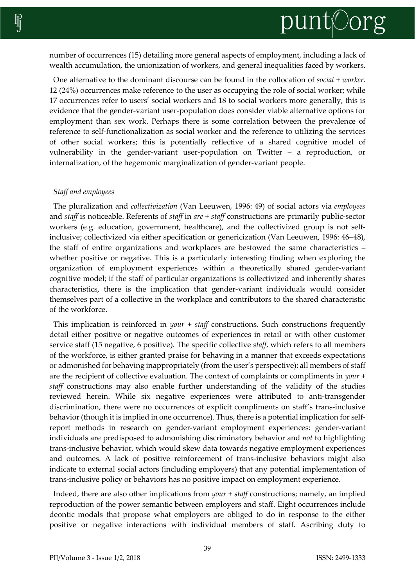

number of occurrences (15) detailing more general aspects of employment, including a lack of wealth accumulation, the unionization of workers, and general inequalities faced by workers.

One alternative to the dominant discourse can be found in the collocation of *social* + *worker*. 12 (24%) occurrences make reference to the user as occupying the role of social worker; while 17 occurrences refer to users' social workers and 18 to social workers more generally, this is evidence that the gender-variant user-population does consider viable alternative options for employment than sex work. Perhaps there is some correlation between the prevalence of reference to self-functionalization as social worker and the reference to utilizing the services of other social workers; this is potentially reflective of a shared cognitive model of vulnerability in the gender-variant user-population on Twitter – a reproduction, or internalization, of the hegemonic marginalization of gender-variant people.

#### *Staff and employees*

The pluralization and *collectivization* (Van Leeuwen, 1996: 49) of social actors via *employees*  and *staff* is noticeable. Referents of *staff* in *are + staff* constructions are primarily public-sector workers (e.g. education, government, healthcare), and the collectivized group is not selfinclusive; collectivized via either specification or genericization (Van Leeuwen, 1996: 46-48), the staff of entire organizations and workplaces are bestowed the same characteristics – whether positive or negative. This is a particularly interesting finding when exploring the organization of employment experiences within a theoretically shared gender-variant cognitive model; if the staff of particular organizations is collectivized and inherently shares characteristics, there is the implication that gender-variant individuals would consider themselves part of a collective in the workplace and contributors to the shared characteristic of the workforce.

This implication is reinforced in *your* + *staff* constructions. Such constructions frequently detail either positive or negative outcomes of experiences in retail or with other customer service staff (15 negative, 6 positive). The specific collective *staff*, which refers to all members of the workforce, is either granted praise for behaving in a manner that exceeds expectations or admonished for behaving inappropriately (from the user's perspective): all members of staff are the recipient of collective evaluation. The context of complaints or compliments in *your* + *staff* constructions may also enable further understanding of the validity of the studies reviewed herein. While six negative experiences were attributed to anti-transgender discrimination, there were no occurrences of explicit compliments on staff's trans-inclusive behavior (though it is implied in one occurrence). Thus, there is a potential implication for selfreport methods in research on gender-variant employment experiences: gender-variant individuals are predisposed to admonishing discriminatory behavior and *not* to highlighting trans-inclusive behavior, which would skew data towards negative employment experiences and outcomes. A lack of positive reinforcement of trans-inclusive behaviors might also indicate to external social actors (including employers) that any potential implementation of trans-inclusive policy or behaviors has no positive impact on employment experience.

Indeed, there are also other implications from *your + staff* constructions; namely, an implied reproduction of the power semantic between employers and staff. Eight occurrences include deontic modals that propose what employers are obliged to do in response to the either positive or negative interactions with individual members of staff. Ascribing duty to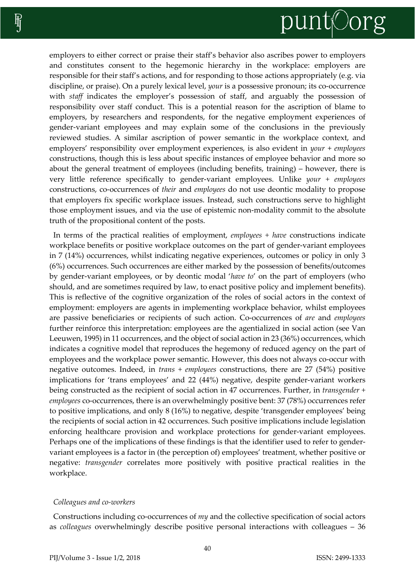# punt©org

employers to either correct or praise their staff's behavior also ascribes power to employers and constitutes consent to the hegemonic hierarchy in the workplace: employers are responsible for their staff's actions, and for responding to those actions appropriately (e.g. via discipline, or praise). On a purely lexical level, *your* is a possessive pronoun; its co-occurrence with *staff* indicates the employer's possession of staff, and arguably the possession of responsibility over staff conduct. This is a potential reason for the ascription of blame to employers, by researchers and respondents, for the negative employment experiences of gender-variant employees and may explain some of the conclusions in the previously reviewed studies. A similar ascription of power semantic in the workplace context, and employers' responsibility over employment experiences, is also evident in *your* + *employees* constructions, though this is less about specific instances of employee behavior and more so about the general treatment of employees (including benefits, training) – however, there is very little reference specifically to gender-variant employees. Unlike *your + employees*  constructions, co-occurrences of *their* and *employees* do not use deontic modality to propose that employers fix specific workplace issues. Instead, such constructions serve to highlight those employment issues, and via the use of epistemic non-modality commit to the absolute truth of the propositional content of the posts.

In terms of the practical realities of employment, *employees + have* constructions indicate workplace benefits or positive workplace outcomes on the part of gender-variant employees in 7 (14%) occurrences, whilst indicating negative experiences, outcomes or policy in only 3 (6%) occurrences. Such occurrences are either marked by the possession of benefits/outcomes by gender-variant employees, or by deontic modal '*have to*' on the part of employers (who should, and are sometimes required by law, to enact positive policy and implement benefits). This is reflective of the cognitive organization of the roles of social actors in the context of employment: employers are agents in implementing workplace behavior, whilst employees are passive beneficiaries or recipients of such action. Co-occurrences of *are* and *employees* further reinforce this interpretation: employees are the agentialized in social action (see Van Leeuwen, 1995) in 11 occurrences, and the object of social action in 23 (36%) occurrences, which indicates a cognitive model that reproduces the hegemony of reduced agency on the part of employees and the workplace power semantic. However, this does not always co-occur with negative outcomes. Indeed, in *trans + employees* constructions, there are 27 (54%) positive implications for 'trans employees' and 22 (44%) negative, despite gender-variant workers being constructed as the recipient of social action in 47 occurrences. Further, in *transgender + employees* co-occurrences, there is an overwhelmingly positive bent: 37 (78%) occurrences refer to positive implications, and only 8 (16%) to negative, despite 'transgender employees' being the recipients of social action in 42 occurrences. Such positive implications include legislation enforcing healthcare provision and workplace protections for gender-variant employees. Perhaps one of the implications of these findings is that the identifier used to refer to gendervariant employees is a factor in (the perception of) employees' treatment, whether positive or negative: *transgender* correlates more positively with positive practical realities in the workplace.

# *Colleagues and co-workers*

Constructions including co-occurrences of *my* and the collective specification of social actors as *colleagues* overwhelmingly describe positive personal interactions with colleagues – 36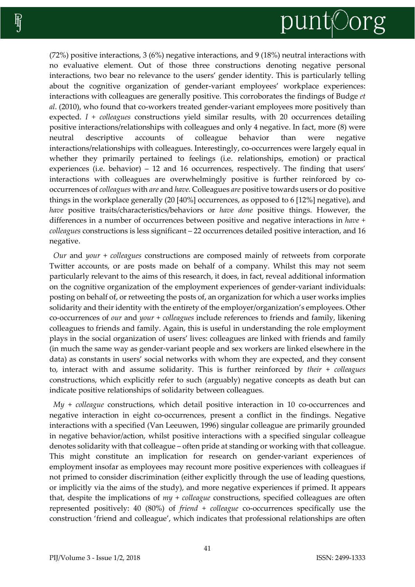# punt©org

(72%) positive interactions, 3 (6%) negative interactions, and 9 (18%) neutral interactions with no evaluative element. Out of those three constructions denoting negative personal interactions, two bear no relevance to the users' gender identity. This is particularly telling about the cognitive organization of gender-variant employees' workplace experiences: interactions with colleagues are generally positive. This corroborates the findings of Budge *et al*. (2010), who found that co-workers treated gender-variant employees more positively than expected. *I + colleagues* constructions yield similar results, with 20 occurrences detailing positive interactions/relationships with colleagues and only 4 negative. In fact, more (8) were neutral descriptive accounts of colleague behavior than were negative interactions/relationships with colleagues. Interestingly, co-occurrences were largely equal in whether they primarily pertained to feelings (i.e. relationships, emotion) or practical experiences (i.e. behavior) – 12 and 16 occurrences, respectively. The finding that users' interactions with colleagues are overwhelmingly positive is further reinforced by cooccurrences of *colleagues* with *are* and *have.* Colleagues *are* positive towards users or do positive things in the workplace generally (20 [40%] occurrences, as opposed to 6 [12%] negative), and *have* positive traits/characteristics/behaviors or *have done* positive things. However, the differences in a number of occurrences between positive and negative interactions in *have + colleagues* constructions is less significant – 22 occurrences detailed positive interaction, and 16 negative.

*Our* and *your* + *colleagues* constructions are composed mainly of retweets from corporate Twitter accounts, or are posts made on behalf of a company. Whilst this may not seem particularly relevant to the aims of this research, it does, in fact, reveal additional information on the cognitive organization of the employment experiences of gender-variant individuals: posting on behalf of, or retweeting the posts of, an organization for which a user works implies solidarity and their identity with the entirety of the employer/organization's employees. Other co-occurrences of *our* and *your* + *colleagues* include references to friends and family, likening colleagues to friends and family. Again, this is useful in understanding the role employment plays in the social organization of users' lives: colleagues are linked with friends and family (in much the same way as gender-variant people and sex workers are linked elsewhere in the data) as constants in users' social networks with whom they are expected, and they consent to, interact with and assume solidarity. This is further reinforced by *their* + *colleagues*  constructions, which explicitly refer to such (arguably) negative concepts as death but can indicate positive relationships of solidarity between colleagues.

*My* + *colleague* constructions, which detail positive interaction in 10 co-occurrences and negative interaction in eight co-occurrences, present a conflict in the findings. Negative interactions with a specified (Van Leeuwen, 1996) singular colleague are primarily grounded in negative behavior/action, whilst positive interactions with a specified singular colleague denotes solidarity with that colleague – often pride at standing or working with that colleague. This might constitute an implication for research on gender-variant experiences of employment insofar as employees may recount more positive experiences with colleagues if not primed to consider discrimination (either explicitly through the use of leading questions, or implicitly via the aims of the study), and more negative experiences if primed. It appears that, despite the implications of *my* + *colleague* constructions, specified colleagues are often represented positively: 40 (80%) of *friend* + *colleague* co-occurrences specifically use the construction 'friend and colleague', which indicates that professional relationships are often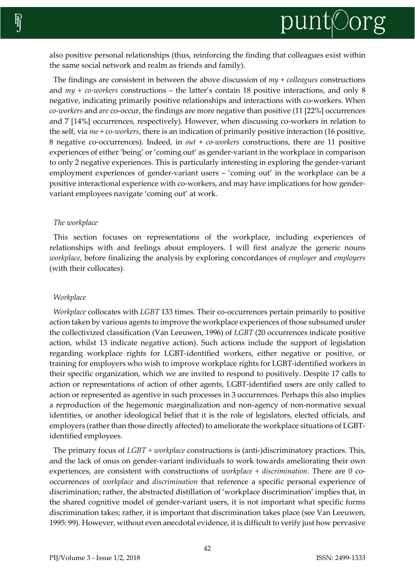also positive personal relationships (thus, reinforcing the finding that colleagues exist within the same social network and realm as friends and family).

The findings are consistent in between the above discussion of *my* + *colleagues* constructions and *my* + *co-workers* constructions – the latter's contain 18 positive interactions, and only 8 negative, indicating primarily positive relationships and interactions with co-workers. When *co-workers* and *are* co-occur, the findings are more negative than positive (11 [22%] occurrences and 7 [14%] occurrences, respectively). However, when discussing co-workers in relation to the self, via *me* + *co-workers*, there is an indication of primarily positive interaction (16 positive, 8 negative co-occurrences). Indeed, in *out* + *co-workers* constructions, there are 11 positive experiences of either 'being' or 'coming out' as gender-variant in the workplace in comparison to only 2 negative experiences. This is particularly interesting in exploring the gender-variant employment experiences of gender-variant users – 'coming out' in the workplace can be a positive interactional experience with co-workers, and may have implications for how gendervariant employees navigate 'coming out' at work.

## *The workplace*

This section focuses on representations of the workplace, including experiences of relationships with and feelings about employers. I will first analyze the generic nouns *workplace*, before finalizing the analysis by exploring concordances of *employer* and *employers*  (with their collocates).

# *Workplace*

*Workplace* collocates with *LGBT* 133 times. Their co-occurrences pertain primarily to positive action taken by various agents to improve the workplace experiences of those subsumed under the collectivized classification (Van Leeuwen, 1996) of *LGBT* (20 occurrences indicate positive action, whilst 13 indicate negative action). Such actions include the support of legislation regarding workplace rights for LGBT-identified workers, either negative or positive, or training for employers who wish to improve workplace rights for LGBT-identified workers in their specific organization, which we are invited to respond to positively. Despite 17 calls to action or representations of action of other agents, LGBT-identified users are only called to action or represented as agentive in such processes in 3 occurrences. Perhaps this also implies a reproduction of the hegemonic marginalization and non-agency of non-normative sexual identities, or another ideological belief that it is the role of legislators, elected officials, and employers (rather than those directly affected) to ameliorate the workplace situations of LGBTidentified employees.

The primary focus of *LGBT + workplace* constructions is (anti-)discriminatory practices. This, and the lack of onus on gender-variant individuals to work towards ameliorating their own experiences, are consistent with constructions of *workplace + discrimination*. There are 0 cooccurrences of *workplace* and *discrimination* that reference a specific personal experience of discrimination; rather, the abstracted distillation of 'workplace discrimination' implies that, in the shared cognitive model of gender-variant users, it is not important what specific forms discrimination takes; rather, it is important that discrimination takes place (see Van Leeuwen, 1995: 99). However, without even anecdotal evidence, it is difficult to verify just how pervasive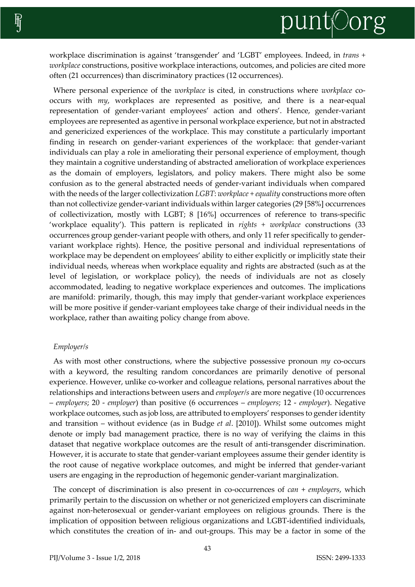

workplace discrimination is against 'transgender' and 'LGBT' employees. Indeed, in *trans + workplace* constructions, positive workplace interactions, outcomes, and policies are cited more often (21 occurrences) than discriminatory practices (12 occurrences).

Where personal experience of the *workplace* is cited, in constructions where *workplace* cooccurs with *my*, workplaces are represented as positive, and there is a near-equal representation of gender-variant employees' action and others'. Hence, gender-variant employees are represented as agentive in personal workplace experience, but not in abstracted and genericized experiences of the workplace. This may constitute a particularly important finding in research on gender-variant experiences of the workplace: that gender-variant individuals can play a role in ameliorating their personal experience of employment, though they maintain a cognitive understanding of abstracted amelioration of workplace experiences as the domain of employers, legislators, and policy makers. There might also be some confusion as to the general abstracted needs of gender-variant individuals when compared with the needs of the larger collectivization *LGBT*: *workplace + equality* constructions more often than not collectivize gender-variant individuals within larger categories (29 [58%] occurrences of collectivization, mostly with LGBT; 8 [16%] occurrences of reference to trans-specific 'workplace equality'). This pattern is replicated in *rights + workplace* constructions (33 occurrences group gender-variant people with others, and only 11 refer specifically to gendervariant workplace rights). Hence, the positive personal and individual representations of workplace may be dependent on employees' ability to either explicitly or implicitly state their individual needs, whereas when workplace equality and rights are abstracted (such as at the level of legislation, or workplace policy), the needs of individuals are not as closely accommodated, leading to negative workplace experiences and outcomes. The implications are manifold: primarily, though, this may imply that gender-variant workplace experiences will be more positive if gender-variant employees take charge of their individual needs in the workplace, rather than awaiting policy change from above.

#### *Employer/s*

As with most other constructions, where the subjective possessive pronoun *my* co-occurs with a keyword, the resulting random concordances are primarily denotive of personal experience. However, unlike co-worker and colleague relations, personal narratives about the relationships and interactions between users and *employer/s* are more negative (10 occurrences – *employers*; 20 - *employer*) than positive (6 occurrences – *employers*; 12 - *employer*). Negative workplace outcomes, such as job loss, are attributed to employers' responses to gender identity and transition – without evidence (as in Budge *et al*. [2010]). Whilst some outcomes might denote or imply bad management practice, there is no way of verifying the claims in this dataset that negative workplace outcomes are the result of anti-transgender discrimination. However, it is accurate to state that gender-variant employees assume their gender identity is the root cause of negative workplace outcomes, and might be inferred that gender-variant users are engaging in the reproduction of hegemonic gender-variant marginalization.

The concept of discrimination is also present in co-occurrences of *can* + *employers*, which primarily pertain to the discussion on whether or not genericized employers can discriminate against non-heterosexual or gender-variant employees on religious grounds. There is the implication of opposition between religious organizations and LGBT-identified individuals, which constitutes the creation of in- and out-groups. This may be a factor in some of the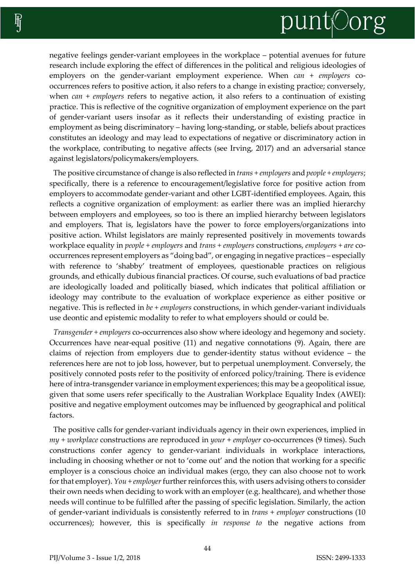

negative feelings gender-variant employees in the workplace – potential avenues for future research include exploring the effect of differences in the political and religious ideologies of employers on the gender-variant employment experience. When *can* + *employers* cooccurrences refers to positive action, it also refers to a change in existing practice; conversely, when *can* + *employers* refers to negative action, it also refers to a continuation of existing practice. This is reflective of the cognitive organization of employment experience on the part of gender-variant users insofar as it reflects their understanding of existing practice in employment as being discriminatory – having long-standing, or stable, beliefs about practices constitutes an ideology and may lead to expectations of negative or discriminatory action in the workplace, contributing to negative affects (see Irving, 2017) and an adversarial stance against legislators/policymakers/employers.

The positive circumstance of change is also reflected in *trans + employers* and *people + employers*; specifically, there is a reference to encouragement/legislative force for positive action from employers to accommodate gender-variant and other LGBT-identified employees. Again, this reflects a cognitive organization of employment: as earlier there was an implied hierarchy between employers and employees, so too is there an implied hierarchy between legislators and employers. That is, legislators have the power to force employers/organizations into positive action. Whilst legislators are mainly represented positively in movements towards workplace equality in *people + employers* and *trans + employers* constructions, *employers + are* cooccurrences represent employers as "doing bad", or engaging in negative practices – especially with reference to 'shabby' treatment of employees, questionable practices on religious grounds, and ethically dubious financial practices. Of course, such evaluations of bad practice are ideologically loaded and politically biased, which indicates that political affiliation or ideology may contribute to the evaluation of workplace experience as either positive or negative. This is reflected in *be + employers* constructions, in which gender-variant individuals use deontic and epistemic modality to refer to what employers should or could be.

*Transgender + employers* co-occurrences also show where ideology and hegemony and society. Occurrences have near-equal positive (11) and negative connotations (9). Again, there are claims of rejection from employers due to gender-identity status without evidence – the references here are not to job loss, however, but to perpetual unemployment. Conversely, the positively connoted posts refer to the positivity of enforced policy/training. There is evidence here of intra-transgender variance in employment experiences; this may be a geopolitical issue, given that some users refer specifically to the Australian Workplace Equality Index (AWEI): positive and negative employment outcomes may be influenced by geographical and political factors.

The positive calls for gender-variant individuals agency in their own experiences, implied in *my + workplace* constructions are reproduced in *your* + *employer* co-occurrences (9 times). Such constructions confer agency to gender-variant individuals in workplace interactions, including in choosing whether or not to 'come out' and the notion that working for a specific employer is a conscious choice an individual makes (ergo, they can also choose not to work for that employer). *You* + *employer* further reinforces this, with users advising others to consider their own needs when deciding to work with an employer (e.g. healthcare), and whether those needs will continue to be fulfilled after the passing of specific legislation. Similarly, the action of gender-variant individuals is consistently referred to in *trans* + *employer* constructions (10 occurrences); however, this is specifically *in response to* the negative actions from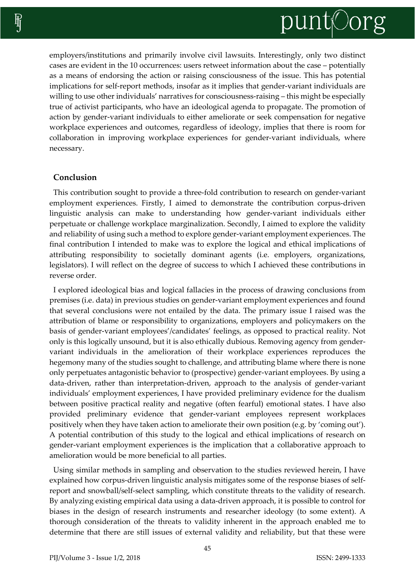

employers/institutions and primarily involve civil lawsuits. Interestingly, only two distinct cases are evident in the 10 occurrences: users retweet information about the case – potentially as a means of endorsing the action or raising consciousness of the issue. This has potential implications for self-report methods, insofar as it implies that gender-variant individuals are willing to use other individuals' narratives for consciousness-raising – this might be especially true of activist participants, who have an ideological agenda to propagate. The promotion of action by gender-variant individuals to either ameliorate or seek compensation for negative workplace experiences and outcomes, regardless of ideology, implies that there is room for collaboration in improving workplace experiences for gender-variant individuals, where necessary.

#### **Conclusion**

This contribution sought to provide a three-fold contribution to research on gender-variant employment experiences. Firstly, I aimed to demonstrate the contribution corpus-driven linguistic analysis can make to understanding how gender-variant individuals either perpetuate or challenge workplace marginalization. Secondly, I aimed to explore the validity and reliability of using such a method to explore gender-variant employment experiences. The final contribution I intended to make was to explore the logical and ethical implications of attributing responsibility to societally dominant agents (i.e. employers, organizations, legislators). I will reflect on the degree of success to which I achieved these contributions in reverse order.

I explored ideological bias and logical fallacies in the process of drawing conclusions from premises (i.e. data) in previous studies on gender-variant employment experiences and found that several conclusions were not entailed by the data. The primary issue I raised was the attribution of blame or responsibility to organizations, employers and policymakers on the basis of gender-variant employees'/candidates' feelings, as opposed to practical reality. Not only is this logically unsound, but it is also ethically dubious. Removing agency from gendervariant individuals in the amelioration of their workplace experiences reproduces the hegemony many of the studies sought to challenge, and attributing blame where there is none only perpetuates antagonistic behavior to (prospective) gender-variant employees. By using a data-driven, rather than interpretation-driven, approach to the analysis of gender-variant individuals' employment experiences, I have provided preliminary evidence for the dualism between positive practical reality and negative (often fearful) emotional states. I have also provided preliminary evidence that gender-variant employees represent workplaces positively when they have taken action to ameliorate their own position (e.g. by 'coming out'). A potential contribution of this study to the logical and ethical implications of research on gender-variant employment experiences is the implication that a collaborative approach to amelioration would be more beneficial to all parties.

Using similar methods in sampling and observation to the studies reviewed herein, I have explained how corpus-driven linguistic analysis mitigates some of the response biases of selfreport and snowball/self-select sampling, which constitute threats to the validity of research. By analyzing existing empirical data using a data-driven approach, it is possible to control for biases in the design of research instruments and researcher ideology (to some extent). A thorough consideration of the threats to validity inherent in the approach enabled me to determine that there are still issues of external validity and reliability, but that these were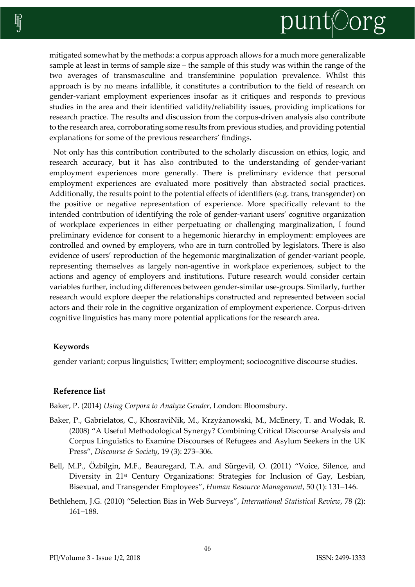mitigated somewhat by the methods: a corpus approach allows for a much more generalizable sample at least in terms of sample size – the sample of this study was within the range of the two averages of transmasculine and transfeminine population prevalence. Whilst this approach is by no means infallible, it constitutes a contribution to the field of research on gender-variant employment experiences insofar as it critiques and responds to previous studies in the area and their identified validity/reliability issues, providing implications for research practice. The results and discussion from the corpus-driven analysis also contribute to the research area, corroborating some results from previous studies, and providing potential explanations for some of the previous researchers' findings.

Not only has this contribution contributed to the scholarly discussion on ethics, logic, and research accuracy, but it has also contributed to the understanding of gender-variant employment experiences more generally. There is preliminary evidence that personal employment experiences are evaluated more positively than abstracted social practices. Additionally, the results point to the potential effects of identifiers (e.g. trans, transgender) on the positive or negative representation of experience. More specifically relevant to the intended contribution of identifying the role of gender-variant users' cognitive organization of workplace experiences in either perpetuating or challenging marginalization, I found preliminary evidence for consent to a hegemonic hierarchy in employment: employees are controlled and owned by employers, who are in turn controlled by legislators. There is also evidence of users' reproduction of the hegemonic marginalization of gender-variant people, representing themselves as largely non-agentive in workplace experiences, subject to the actions and agency of employers and institutions. Future research would consider certain variables further, including differences between gender-similar use-groups. Similarly, further research would explore deeper the relationships constructed and represented between social actors and their role in the cognitive organization of employment experience. Corpus-driven cognitive linguistics has many more potential applications for the research area.

# **Keywords**

gender variant; corpus linguistics; Twitter; employment; sociocognitive discourse studies.

# **Reference list**

Baker, P. (2014) *Using Corpora to Analyze Gender*, London: Bloomsbury.

- Baker, P., Gabrielatos, C., KhosraviNik, M., Krzyżanowski, M., McEnery, T. and Wodak, R. (2008) "A Useful Methodological Synergy? Combining Critical Discourse Analysis and Corpus Linguistics to Examine Discourses of Refugees and Asylum Seekers in the UK Press", *Discourse & Society*, 19 (3): 273-306.
- Bell, M.P., Özbilgin, M.F., Beauregard, T.A. and Sürgevil, O. (2011) "Voice, Silence, and Diversity in 21<sup>st</sup> Century Organizations: Strategies for Inclusion of Gay, Lesbian, Bisexual, and Transgender Employees", *Human Resource Management*, 50 (1): 131-146.
- Bethlehem, J.G. (2010) "Selection Bias in Web Surveys", *International Statistical Review*, 78 (2): 161-188.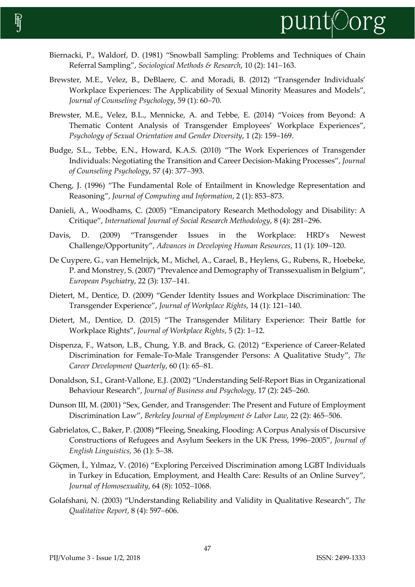

- Biernacki, P., Waldorf, D. (1981) "Snowball Sampling: Problems and Techniques of Chain Referral Sampling", *Sociological Methods & Research*, 10 (2): 141–163.
- Brewster, M.E., Velez, B., DeBlaere, C. and Moradi, B. (2012) "Transgender Individuals' Workplace Experiences: The Applicability of Sexual Minority Measures and Models", *Journal of Counseling Psychology*, 59 (1): 60–70.
- Brewster, M.E., Velez, B.L., Mennicke, A. and Tebbe, E. (2014) "Voices from Beyond: A Thematic Content Analysis of Transgender Employees' Workplace Experiences", Psychology of Sexual Orientation and Gender Diversity, 1 (2): 159–169.
- Budge, S.L., Tebbe, E.N., Howard, K.A.S. (2010) "The Work Experiences of Transgender Individuals: Negotiating the Transition and Career Decision-Making Processes", *Journal*  of Counseling Psychology, 57 (4): 377-393.
- Cheng, J. (1996) "The Fundamental Role of Entailment in Knowledge Representation and Reasoning", *Journal of Computing and Information*, 2(1): 853–873.
- Danieli, A., Woodhams, C. (2005) "Emancipatory Research Methodology and Disability: A Critique", *International Journal of Social Research Methodology*, 8 (4): 281–296.
- Davis, D. (2009) "Transgender Issues in the Workplace: HRD's Newest Challenge/Opportunity", *Advances in Developing Human Resources*, 11 (1): 109-120.
- De Cuypere, G., van Hemelrijck, M., Michel, A., Carael, B., Heylens, G., Rubens, R., Hoebeke, P. and Monstrey, S. (2007) "Prevalence and Demography of Transsexualism in Belgium", *European Psychiatry*, 22 (3): 137-141.
- Dietert, M., Dentice, D. (2009) "Gender Identity Issues and Workplace Discrimination: The Transgender Experience", *Journal of Workplace Rights*, 14 (1): 121-140.
- Dietert, M., Dentice, D. (2015) "The Transgender Military Experience: Their Battle for Workplace Rights", *Journal of Workplace Rights*, 5 (2): 1–12.
- Dispenza, F., Watson, L.B., Chung, Y.B. and Brack, G. (2012) "Experience of Career-Related Discrimination for Female-To-Male Transgender Persons: A Qualitative Study", *The Career Development Quarterly*, 60 (1): 65-81.
- Donaldson, S.I., Grant-Vallone, E.J. (2002) "Understanding Self-Report Bias in Organizational Behaviour Research", *Journal of Business and Psychology*, 17 (2): 245-260.
- Dunson III, M. (2001) "Sex, Gender, and Transgender: The Present and Future of Employment Discrimination Law", *Berkeley Journal of Employment & Labor Law*, 22 (2): 465–506.
- Gabrielatos, C., Baker, P. (2008) **"**Fleeing, Sneaking, Flooding: A Corpus Analysis of Discursive Constructions of Refugees and Asylum Seekers in the UK Press, 1996–2005", *Journal of English Linguistics*, 36 (1): 5–38.
- Göçmen, İ., Yılmaz, V. (2016) "Exploring Perceived Discrimination among LGBT Individuals in Turkey in Education, Employment, and Health Care: Results of an Online Survey", *Journal of Homosexuality*, 64 (8): 1052-1068.
- Golafshani, N. (2003) "Understanding Reliability and Validity in Qualitative Research", *The Qualitative Report, 8 (4): 597–606.*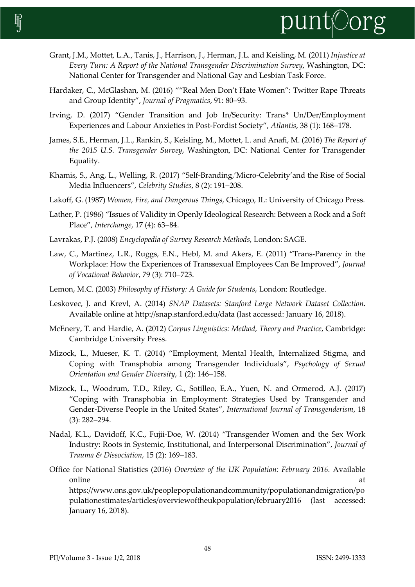

- Grant, J.M., Mottet, L.A., Tanis, J., Harrison, J., Herman, J.L. and Keisling, M. (2011) *Injustice at Every Turn: A Report of the National Transgender Discrimination Survey*, Washington, DC: National Center for Transgender and National Gay and Lesbian Task Force.
- Hardaker, C., McGlashan, M. (2016) ""Real Men Don't Hate Women": Twitter Rape Threats and Group Identity", *Journal of Pragmatics*, 91: 80-93.
- Irving, D. (2017) "Gender Transition and Job In/Security: Trans\* Un/Der/Employment Experiences and Labour Anxieties in Post-Fordist Society", Atlantis, 38 (1): 168-178.
- James, S.E., Herman, J.L., Rankin, S., Keisling, M., Mottet, L. and Anafi, M. (2016) *The Report of the 2015 U.S. Transgender Survey*, Washington, DC: National Center for Transgender Equality.
- Khamis, S., Ang, L., Welling, R. (2017) "Self-Branding,'Micro-Celebrity'and the Rise of Social Media Influencers", Celebrity Studies, 8 (2): 191-208.
- Lakoff, G. (1987) *Women, Fire, and Dangerous Things*, Chicago, IL: University of Chicago Press.
- Lather, P. (1986) "Issues of Validity in Openly Ideological Research: Between a Rock and a Soft Place", *Interchange*, 17 (4): 63-84.
- Lavrakas, P.J. (2008) *Encyclopedia of Survey Research Methods*, London: SAGE.
- Law, C., Martinez, L.R., Ruggs, E.N., Hebl, M. and Akers, E. (2011) "Trans-Parency in the Workplace: How the Experiences of Transsexual Employees Can Be Improved", *Journal of Vocational Behavior, 79 (3): 710-723.*
- Lemon, M.C. (2003) *Philosophy of History: A Guide for Students*, London: Routledge.
- Leskovec, J. and Krevl, A. (2014) *SNAP Datasets: Stanford Large Network Dataset Collection*. Available online at http://snap.stanford.edu/data (last accessed: January 16, 2018).
- McEnery, T. and Hardie, A. (2012) *Corpus Linguistics: Method, Theory and Practice*, Cambridge: Cambridge University Press.
- Mizock, L., Mueser, K. T. (2014) "Employment, Mental Health, Internalized Stigma, and Coping with Transphobia among Transgender Individuals", *Psychology of Sexual Orientation and Gender Diversity*, 1 (2): 146-158.
- Mizock, L., Woodrum, T.D., Riley, G., Sotilleo, E.A., Yuen, N. and Ormerod, A.J. (2017) "Coping with Transphobia in Employment: Strategies Used by Transgender and Gender-Diverse People in the United States", *International Journal of Transgenderism*, 18  $(3)$ : 282-294.
- Nadal, K.L., Davidoff, K.C., Fujii-Doe, W. (2014) "Transgender Women and the Sex Work Industry: Roots in Systemic, Institutional, and Interpersonal Discrimination", *Journal of Trauma & Dissociation*, 15 (2): 169-183.
- Office for National Statistics (2016) *Overview of the UK Population: February 2016*. Available online at a state of the state of the state of the state of the state of the state of the state of the state o https://www.ons.gov.uk/peoplepopulationandcommunity/populationandmigration/po pulationestimates/articles/overviewoftheukpopulation/february2016 (last accessed: January 16, 2018).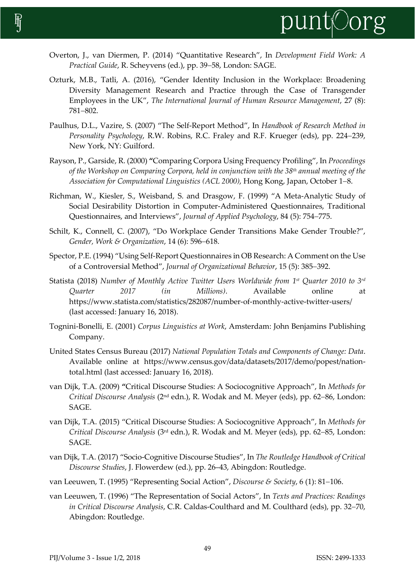

- Overton, J., van Diermen, P. (2014) "Quantitative Research", In *Development Field Work: A Practical Guide*, R. Scheyvens (ed.), pp. 39-58, London: SAGE.
- Ozturk, M.B., Tatli, A. (2016), "Gender Identity Inclusion in the Workplace: Broadening Diversity Management Research and Practice through the Case of Transgender Employees in the UK", *The International Journal of Human Resource Management*, 27 (8): 781-802.
- Paulhus, D.L., Vazire, S. (2007) "The Self-Report Method", In *Handbook of Research Method in*  Personality Psychology, R.W. Robins, R.C. Fraley and R.F. Krueger (eds), pp. 224-239, New York, NY: Guilford.
- Rayson, P., Garside, R. (2000) **"**Comparing Corpora Using Frequency Profiling", In *Proceedings of the Workshop on Comparing Corpora, held in conjunction with the 38th annual meeting of the Association for Computational Linguistics (ACL 2000)*, Hong Kong, Japan, October 1–8.
- Richman, W., Kiesler, S., Weisband, S. and Drasgow, F. (1999) "A Meta-Analytic Study of Social Desirability Distortion in Computer-Administered Questionnaires, Traditional Questionnaires, and Interviews", *Journal of Applied Psychology*, 84 (5): 754–775.
- Schilt, K., Connell, C. (2007), "Do Workplace Gender Transitions Make Gender Trouble?", *Gender, Work & Organization, 14 (6): 596-618.*
- Spector, P.E. (1994) "Using Self-Report Questionnaires in OB Research: A Comment on the Use of a Controversial Method", *Journal of Organizational Behavior*, 15 (5): 385–392.
- Statista (2018) *Number of Monthly Active Twitter Users Worldwide from 1st Quarter 2010 to 3rd Quarter 2017 (in Millions)*. Available online at https://www.statista.com/statistics/282087/number-of-monthly-active-twitter-users/ (last accessed: January 16, 2018).
- Tognini-Bonelli, E. (2001) *Corpus Linguistics at Work*, Amsterdam: John Benjamins Publishing Company.
- United States Census Bureau (2017) *National Population Totals and Components of Change: Data*. Available online at https://www.census.gov/data/datasets/2017/demo/popest/nationtotal.html (last accessed: January 16, 2018).
- van Dijk, T.A. (2009) **"**Critical Discourse Studies: A Sociocognitive Approach", In *Methods for Critical Discourse Analysis* (2<sup>nd</sup> edn.), R. Wodak and M. Meyer (eds), pp. 62–86, London: SAGE.
- van Dijk, T.A. (2015) "Critical Discourse Studies: A Sociocognitive Approach", In *Methods for Critical Discourse Analysis* (3<sup>rd</sup> edn.), R. Wodak and M. Meyer (eds), pp. 62–85, London: SAGE.
- van Dijk, T.A. (2017) "Socio-Cognitive Discourse Studies", In *The Routledge Handbook of Critical Discourse Studies*, J. Flowerdew (ed.), pp. 26–43, Abingdon: Routledge.
- van Leeuwen, T. (1995) "Representing Social Action", *Discourse & Society*, 6 (1): 81–106.
- van Leeuwen, T. (1996) "The Representation of Social Actors", In *Texts and Practices: Readings in Critical Discourse Analysis, C.R. Caldas-Coulthard and M. Coulthard (eds), pp. 32-70,* Abingdon: Routledge.